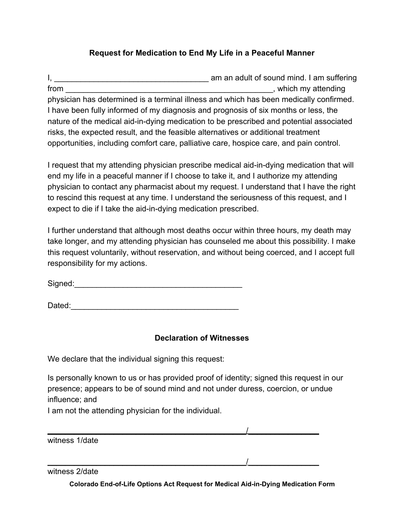## **Request for Medication to End My Life in a Peaceful Manner**

I, \_\_\_\_\_\_\_\_\_\_\_\_\_\_\_\_\_\_\_\_\_\_\_\_\_\_\_\_\_\_\_\_\_\_\_ am an adult of sound mind. I am suffering from the state of the state of the state of the state of the state of the state of the state of the state of the state of the state of the state of the state of the state of the state of the state of the state of the state physician has determined is a terminal illness and which has been medically confirmed. I have been fully informed of my diagnosis and prognosis of six months or less, the nature of the medical aid-in-dying medication to be prescribed and potential associated risks, the expected result, and the feasible alternatives or additional treatment opportunities, including comfort care, palliative care, hospice care, and pain control.

I request that my attending physician prescribe medical aid-in-dying medication that will end my life in a peaceful manner if I choose to take it, and I authorize my attending physician to contact any pharmacist about my request. I understand that I have the right to rescind this request at any time. I understand the seriousness of this request, and I expect to die if I take the aid-in-dying medication prescribed.

I further understand that although most deaths occur within three hours, my death may take longer, and my attending physician has counseled me about this possibility. I make this request voluntarily, without reservation, and without being coerced, and I accept full responsibility for my actions.

Signed:\_\_\_\_\_\_\_\_\_\_\_\_\_\_\_\_\_\_\_\_\_\_\_\_\_\_\_\_\_\_\_\_\_\_\_\_\_\_

Dated:\_\_\_\_\_\_\_\_\_\_\_\_\_\_\_\_\_\_\_\_\_\_\_\_\_\_\_\_\_\_\_\_\_\_\_\_\_\_

## **Declaration of Witnesses**

We declare that the individual signing this request:

Is personally known to us or has provided proof of identity; signed this request in our presence; appears to be of sound mind and not under duress, coercion, or undue influence; and

 $\overline{\phantom{a}}$ 

 $\overline{\phantom{a}}$ 

I am not the attending physician for the individual.

witness 1/date

witness 2/date

**Colorado End-of-Life Options Act Request for Medical Aid-in-Dying Medication Form**